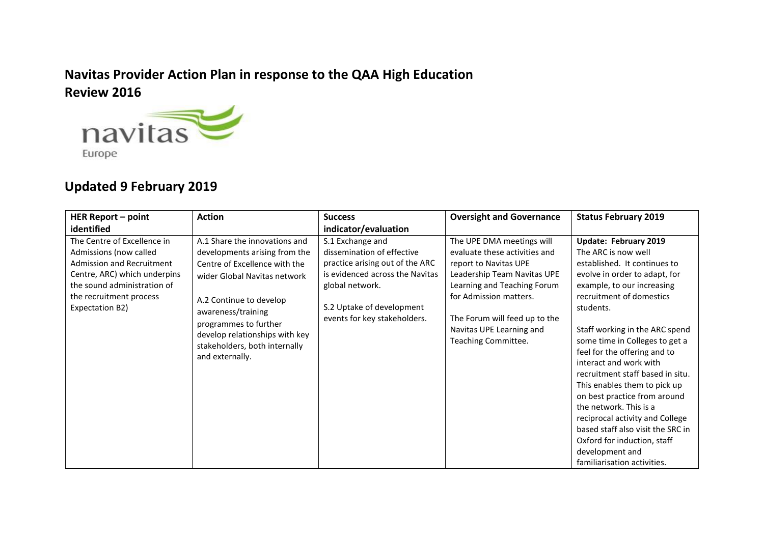## **Navitas Provider Action Plan in response to the QAA High Education Review 2016**



## **Updated 9 February 2019**

| <b>HER Report - point</b>                                                                                                                                                                              | <b>Action</b>                                                                                                                                                                                                                                                                                   | <b>Success</b>                                                                                                                                                                                       | <b>Oversight and Governance</b>                                                                                                                                                                                                                                 | <b>Status February 2019</b>                                                                                                                                                                                                                                                                                                                                                                                                                                                                                                                                                                               |
|--------------------------------------------------------------------------------------------------------------------------------------------------------------------------------------------------------|-------------------------------------------------------------------------------------------------------------------------------------------------------------------------------------------------------------------------------------------------------------------------------------------------|------------------------------------------------------------------------------------------------------------------------------------------------------------------------------------------------------|-----------------------------------------------------------------------------------------------------------------------------------------------------------------------------------------------------------------------------------------------------------------|-----------------------------------------------------------------------------------------------------------------------------------------------------------------------------------------------------------------------------------------------------------------------------------------------------------------------------------------------------------------------------------------------------------------------------------------------------------------------------------------------------------------------------------------------------------------------------------------------------------|
| identified                                                                                                                                                                                             |                                                                                                                                                                                                                                                                                                 | indicator/evaluation                                                                                                                                                                                 |                                                                                                                                                                                                                                                                 |                                                                                                                                                                                                                                                                                                                                                                                                                                                                                                                                                                                                           |
| The Centre of Excellence in<br>Admissions (now called<br><b>Admission and Recruitment</b><br>Centre, ARC) which underpins<br>the sound administration of<br>the recruitment process<br>Expectation B2) | A.1 Share the innovations and<br>developments arising from the<br>Centre of Excellence with the<br>wider Global Navitas network<br>A.2 Continue to develop<br>awareness/training<br>programmes to further<br>develop relationships with key<br>stakeholders, both internally<br>and externally. | S.1 Exchange and<br>dissemination of effective<br>practice arising out of the ARC<br>is evidenced across the Navitas<br>global network.<br>S.2 Uptake of development<br>events for key stakeholders. | The UPE DMA meetings will<br>evaluate these activities and<br>report to Navitas UPE<br>Leadership Team Navitas UPE<br>Learning and Teaching Forum<br>for Admission matters.<br>The Forum will feed up to the<br>Navitas UPE Learning and<br>Teaching Committee. | Update: February 2019<br>The ARC is now well<br>established. It continues to<br>evolve in order to adapt, for<br>example, to our increasing<br>recruitment of domestics<br>students.<br>Staff working in the ARC spend<br>some time in Colleges to get a<br>feel for the offering and to<br>interact and work with<br>recruitment staff based in situ.<br>This enables them to pick up<br>on best practice from around<br>the network. This is a<br>reciprocal activity and College<br>based staff also visit the SRC in<br>Oxford for induction, staff<br>development and<br>familiarisation activities. |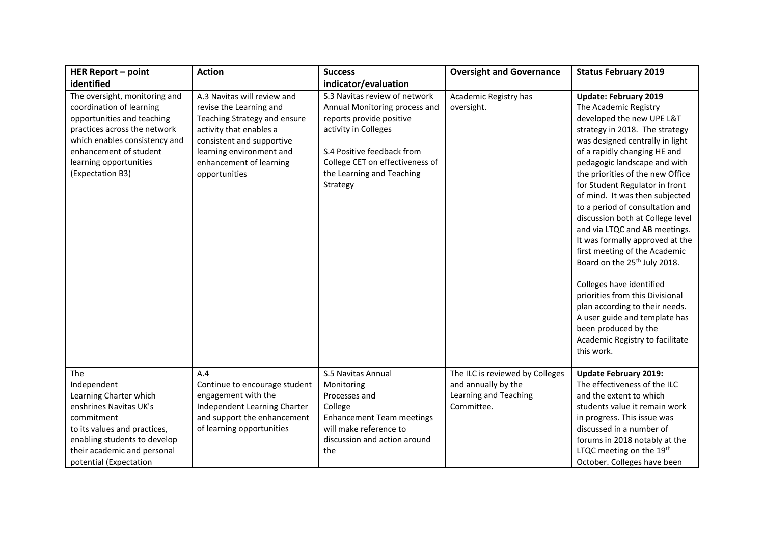| <b>HER Report - point</b>                                                                                                                                                                                                        | <b>Action</b>                                                                                                                                                                                                          | <b>Success</b>                                                                                                                                                                                                               | <b>Oversight and Governance</b>                                                               | <b>Status February 2019</b>                                                                                                                                                                                                                                                                                                                                                                                                                                                                                                                                                                                                                                                                                                                                        |
|----------------------------------------------------------------------------------------------------------------------------------------------------------------------------------------------------------------------------------|------------------------------------------------------------------------------------------------------------------------------------------------------------------------------------------------------------------------|------------------------------------------------------------------------------------------------------------------------------------------------------------------------------------------------------------------------------|-----------------------------------------------------------------------------------------------|--------------------------------------------------------------------------------------------------------------------------------------------------------------------------------------------------------------------------------------------------------------------------------------------------------------------------------------------------------------------------------------------------------------------------------------------------------------------------------------------------------------------------------------------------------------------------------------------------------------------------------------------------------------------------------------------------------------------------------------------------------------------|
| identified                                                                                                                                                                                                                       |                                                                                                                                                                                                                        | indicator/evaluation                                                                                                                                                                                                         |                                                                                               |                                                                                                                                                                                                                                                                                                                                                                                                                                                                                                                                                                                                                                                                                                                                                                    |
| The oversight, monitoring and<br>coordination of learning<br>opportunities and teaching<br>practices across the network<br>which enables consistency and<br>enhancement of student<br>learning opportunities<br>(Expectation B3) | A.3 Navitas will review and<br>revise the Learning and<br>Teaching Strategy and ensure<br>activity that enables a<br>consistent and supportive<br>learning environment and<br>enhancement of learning<br>opportunities | S.3 Navitas review of network<br>Annual Monitoring process and<br>reports provide positive<br>activity in Colleges<br>S.4 Positive feedback from<br>College CET on effectiveness of<br>the Learning and Teaching<br>Strategy | Academic Registry has<br>oversight.                                                           | <b>Update: February 2019</b><br>The Academic Registry<br>developed the new UPE L&T<br>strategy in 2018. The strategy<br>was designed centrally in light<br>of a rapidly changing HE and<br>pedagogic landscape and with<br>the priorities of the new Office<br>for Student Regulator in front<br>of mind. It was then subjected<br>to a period of consultation and<br>discussion both at College level<br>and via LTQC and AB meetings.<br>It was formally approved at the<br>first meeting of the Academic<br>Board on the 25 <sup>th</sup> July 2018.<br>Colleges have identified<br>priorities from this Divisional<br>plan according to their needs.<br>A user guide and template has<br>been produced by the<br>Academic Registry to facilitate<br>this work. |
| <b>The</b><br>Independent<br>Learning Charter which<br>enshrines Navitas UK's<br>commitment<br>to its values and practices,<br>enabling students to develop<br>their academic and personal<br>potential (Expectation             | A.4<br>Continue to encourage student<br>engagement with the<br>Independent Learning Charter<br>and support the enhancement<br>of learning opportunities                                                                | S.5 Navitas Annual<br>Monitoring<br>Processes and<br>College<br><b>Enhancement Team meetings</b><br>will make reference to<br>discussion and action around<br>the                                                            | The ILC is reviewed by Colleges<br>and annually by the<br>Learning and Teaching<br>Committee. | <b>Update February 2019:</b><br>The effectiveness of the ILC<br>and the extent to which<br>students value it remain work<br>in progress. This issue was<br>discussed in a number of<br>forums in 2018 notably at the<br>LTQC meeting on the 19th<br>October. Colleges have been                                                                                                                                                                                                                                                                                                                                                                                                                                                                                    |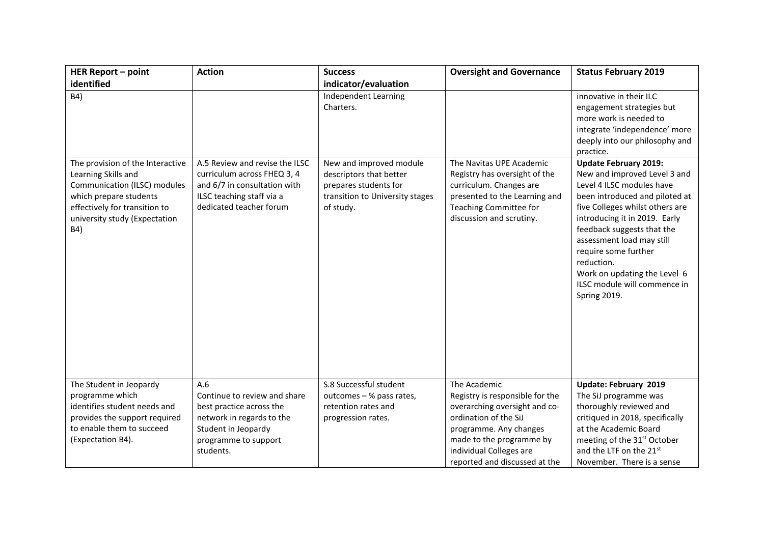| <b>HER Report - point</b>                                                                                                                                                                  | <b>Action</b>                                                                                                                                            | <b>Success</b>                                                                                                              | <b>Oversight and Governance</b>                                                                                                                                                                                             | <b>Status February 2019</b>                                                                                                                                                                                                                                                                                                                                                      |
|--------------------------------------------------------------------------------------------------------------------------------------------------------------------------------------------|----------------------------------------------------------------------------------------------------------------------------------------------------------|-----------------------------------------------------------------------------------------------------------------------------|-----------------------------------------------------------------------------------------------------------------------------------------------------------------------------------------------------------------------------|----------------------------------------------------------------------------------------------------------------------------------------------------------------------------------------------------------------------------------------------------------------------------------------------------------------------------------------------------------------------------------|
| identified                                                                                                                                                                                 |                                                                                                                                                          | indicator/evaluation                                                                                                        |                                                                                                                                                                                                                             |                                                                                                                                                                                                                                                                                                                                                                                  |
| B4)                                                                                                                                                                                        |                                                                                                                                                          | Independent Learning<br>Charters.                                                                                           |                                                                                                                                                                                                                             | innovative in their ILC<br>engagement strategies but<br>more work is needed to<br>integrate 'independence' more<br>deeply into our philosophy and<br>practice.                                                                                                                                                                                                                   |
| The provision of the Interactive<br>Learning Skills and<br>Communication (ILSC) modules<br>which prepare students<br>effectively for transition to<br>university study (Expectation<br>B4) | A.5 Review and revise the ILSC<br>curriculum across FHEQ 3, 4<br>and 6/7 in consultation with<br>ILSC teaching staff via a<br>dedicated teacher forum    | New and improved module<br>descriptors that better<br>prepares students for<br>transition to University stages<br>of study. | The Navitas UPE Academic<br>Registry has oversight of the<br>curriculum. Changes are<br>presented to the Learning and<br><b>Teaching Committee for</b><br>discussion and scrutiny.                                          | <b>Update February 2019:</b><br>New and improved Level 3 and<br>Level 4 ILSC modules have<br>been introduced and piloted at<br>five Colleges whilst others are<br>introducing it in 2019. Early<br>feedback suggests that the<br>assessment load may still<br>require some further<br>reduction.<br>Work on updating the Level 6<br>ILSC module will commence in<br>Spring 2019. |
| The Student in Jeopardy<br>programme which<br>identifies student needs and<br>provides the support required<br>to enable them to succeed<br>(Expectation B4).                              | A.6<br>Continue to review and share<br>best practice across the<br>network in regards to the<br>Student in Jeopardy<br>programme to support<br>students. | S.8 Successful student<br>outcomes - % pass rates,<br>retention rates and<br>progression rates.                             | The Academic<br>Registry is responsible for the<br>overarching oversight and co-<br>ordination of the SiJ<br>programme. Any changes<br>made to the programme by<br>individual Colleges are<br>reported and discussed at the | Update: February 2019<br>The SiJ programme was<br>thoroughly reviewed and<br>critiqued in 2018, specifically<br>at the Academic Board<br>meeting of the 31 <sup>st</sup> October<br>and the LTF on the 21st<br>November. There is a sense                                                                                                                                        |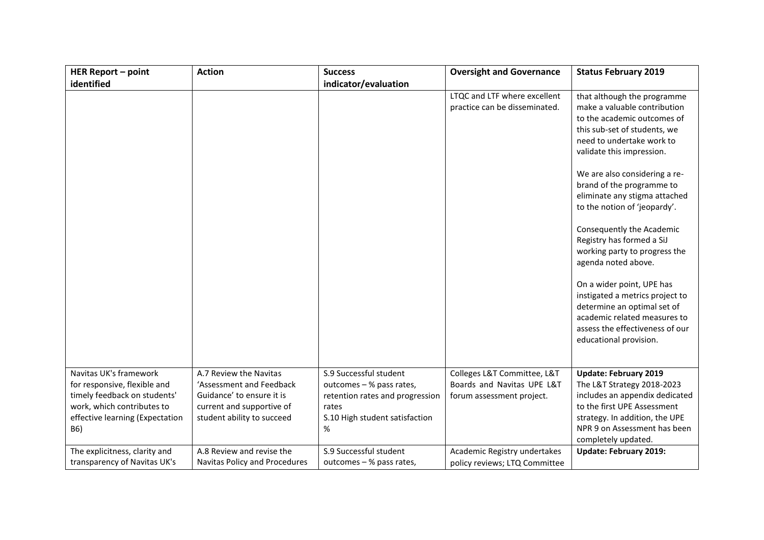| <b>HER Report - point</b>                                                                                                                                      | <b>Action</b>                                                                                                                              | <b>Success</b>                                                                                                                        | <b>Oversight and Governance</b>                                                        | <b>Status February 2019</b>                                                                                                                                                                                                                                                                                                                                                                                                                                                                                                                                                                                                       |
|----------------------------------------------------------------------------------------------------------------------------------------------------------------|--------------------------------------------------------------------------------------------------------------------------------------------|---------------------------------------------------------------------------------------------------------------------------------------|----------------------------------------------------------------------------------------|-----------------------------------------------------------------------------------------------------------------------------------------------------------------------------------------------------------------------------------------------------------------------------------------------------------------------------------------------------------------------------------------------------------------------------------------------------------------------------------------------------------------------------------------------------------------------------------------------------------------------------------|
| identified                                                                                                                                                     |                                                                                                                                            | indicator/evaluation                                                                                                                  |                                                                                        |                                                                                                                                                                                                                                                                                                                                                                                                                                                                                                                                                                                                                                   |
|                                                                                                                                                                |                                                                                                                                            |                                                                                                                                       | LTQC and LTF where excellent<br>practice can be disseminated.                          | that although the programme<br>make a valuable contribution<br>to the academic outcomes of<br>this sub-set of students, we<br>need to undertake work to<br>validate this impression.<br>We are also considering a re-<br>brand of the programme to<br>eliminate any stigma attached<br>to the notion of 'jeopardy'.<br>Consequently the Academic<br>Registry has formed a SiJ<br>working party to progress the<br>agenda noted above.<br>On a wider point, UPE has<br>instigated a metrics project to<br>determine an optimal set of<br>academic related measures to<br>assess the effectiveness of our<br>educational provision. |
| Navitas UK's framework<br>for responsive, flexible and<br>timely feedback on students'<br>work, which contributes to<br>effective learning (Expectation<br>B6) | A.7 Review the Navitas<br>'Assessment and Feedback<br>Guidance' to ensure it is<br>current and supportive of<br>student ability to succeed | S.9 Successful student<br>outcomes - % pass rates,<br>retention rates and progression<br>rates<br>S.10 High student satisfaction<br>% | Colleges L&T Committee, L&T<br>Boards and Navitas UPE L&T<br>forum assessment project. | <b>Update: February 2019</b><br>The L&T Strategy 2018-2023<br>includes an appendix dedicated<br>to the first UPE Assessment<br>strategy. In addition, the UPE<br>NPR 9 on Assessment has been<br>completely updated.                                                                                                                                                                                                                                                                                                                                                                                                              |
| The explicitness, clarity and                                                                                                                                  | A.8 Review and revise the                                                                                                                  | S.9 Successful student                                                                                                                | Academic Registry undertakes                                                           | <b>Update: February 2019:</b>                                                                                                                                                                                                                                                                                                                                                                                                                                                                                                                                                                                                     |
| transparency of Navitas UK's                                                                                                                                   | Navitas Policy and Procedures                                                                                                              | outcomes - % pass rates,                                                                                                              | policy reviews; LTQ Committee                                                          |                                                                                                                                                                                                                                                                                                                                                                                                                                                                                                                                                                                                                                   |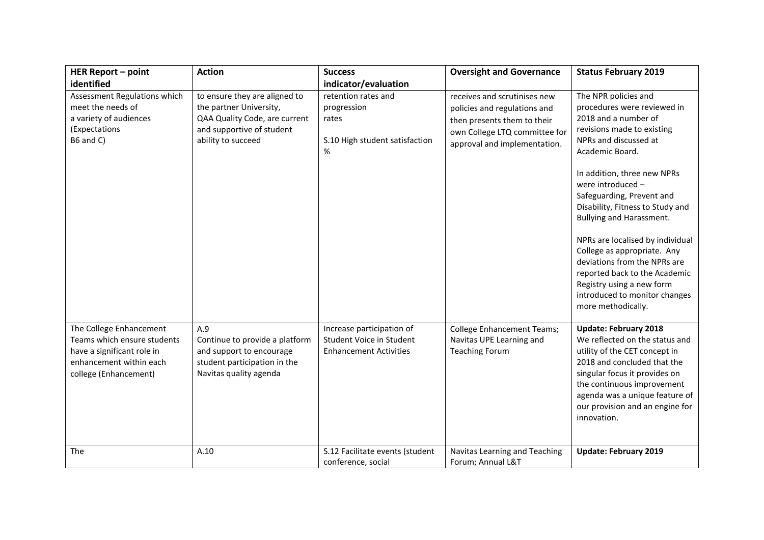| <b>HER Report - point</b>                                                                                                                | <b>Action</b>                                                                                                                                | <b>Success</b>                                                                         | <b>Oversight and Governance</b>                                                                                                                              | <b>Status February 2019</b>                                                                                                                                                                                                                                                                                                                                                                                                                                                                                                    |
|------------------------------------------------------------------------------------------------------------------------------------------|----------------------------------------------------------------------------------------------------------------------------------------------|----------------------------------------------------------------------------------------|--------------------------------------------------------------------------------------------------------------------------------------------------------------|--------------------------------------------------------------------------------------------------------------------------------------------------------------------------------------------------------------------------------------------------------------------------------------------------------------------------------------------------------------------------------------------------------------------------------------------------------------------------------------------------------------------------------|
| identified                                                                                                                               |                                                                                                                                              | indicator/evaluation                                                                   |                                                                                                                                                              |                                                                                                                                                                                                                                                                                                                                                                                                                                                                                                                                |
| Assessment Regulations which<br>meet the needs of<br>a variety of audiences<br>(Expectations<br>B6 and C)                                | to ensure they are aligned to<br>the partner University,<br>QAA Quality Code, are current<br>and supportive of student<br>ability to succeed | retention rates and<br>progression<br>rates<br>S.10 High student satisfaction<br>$\%$  | receives and scrutinises new<br>policies and regulations and<br>then presents them to their<br>own College LTQ committee for<br>approval and implementation. | The NPR policies and<br>procedures were reviewed in<br>2018 and a number of<br>revisions made to existing<br>NPRs and discussed at<br>Academic Board.<br>In addition, three new NPRs<br>were introduced -<br>Safeguarding, Prevent and<br>Disability, Fitness to Study and<br>Bullying and Harassment.<br>NPRs are localised by individual<br>College as appropriate. Any<br>deviations from the NPRs are<br>reported back to the Academic<br>Registry using a new form<br>introduced to monitor changes<br>more methodically. |
| The College Enhancement<br>Teams which ensure students<br>have a significant role in<br>enhancement within each<br>college (Enhancement) | A.9<br>Continue to provide a platform<br>and support to encourage<br>student participation in the<br>Navitas quality agenda                  | Increase participation of<br>Student Voice in Student<br><b>Enhancement Activities</b> | <b>College Enhancement Teams;</b><br>Navitas UPE Learning and<br><b>Teaching Forum</b>                                                                       | <b>Update: February 2018</b><br>We reflected on the status and<br>utility of the CET concept in<br>2018 and concluded that the<br>singular focus it provides on<br>the continuous improvement<br>agenda was a unique feature of<br>our provision and an engine for<br>innovation.                                                                                                                                                                                                                                              |
| <b>The</b>                                                                                                                               | A.10                                                                                                                                         | S.12 Facilitate events (student<br>conference, social                                  | Navitas Learning and Teaching<br>Forum; Annual L&T                                                                                                           | <b>Update: February 2019</b>                                                                                                                                                                                                                                                                                                                                                                                                                                                                                                   |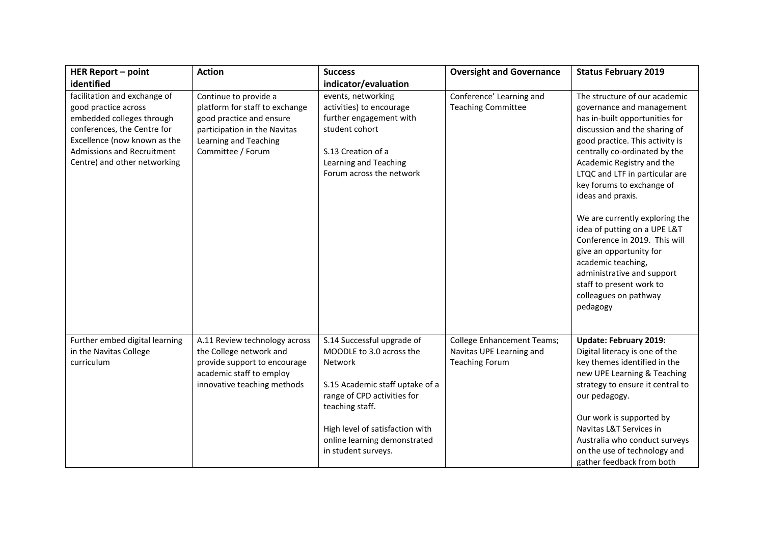| <b>HER Report - point</b>                                                                                                                                                                                      | <b>Action</b>                                                                                                                                                     | <b>Success</b>                                                                                                                                                                                                                                   | <b>Oversight and Governance</b>                                                        | <b>Status February 2019</b>                                                                                                                                                                                                                                                                                                                                                                                                                                                                                                                                           |
|----------------------------------------------------------------------------------------------------------------------------------------------------------------------------------------------------------------|-------------------------------------------------------------------------------------------------------------------------------------------------------------------|--------------------------------------------------------------------------------------------------------------------------------------------------------------------------------------------------------------------------------------------------|----------------------------------------------------------------------------------------|-----------------------------------------------------------------------------------------------------------------------------------------------------------------------------------------------------------------------------------------------------------------------------------------------------------------------------------------------------------------------------------------------------------------------------------------------------------------------------------------------------------------------------------------------------------------------|
| identified                                                                                                                                                                                                     |                                                                                                                                                                   | indicator/evaluation                                                                                                                                                                                                                             |                                                                                        |                                                                                                                                                                                                                                                                                                                                                                                                                                                                                                                                                                       |
| facilitation and exchange of<br>good practice across<br>embedded colleges through<br>conferences, the Centre for<br>Excellence (now known as the<br>Admissions and Recruitment<br>Centre) and other networking | Continue to provide a<br>platform for staff to exchange<br>good practice and ensure<br>participation in the Navitas<br>Learning and Teaching<br>Committee / Forum | events, networking<br>activities) to encourage<br>further engagement with<br>student cohort<br>S.13 Creation of a<br>Learning and Teaching<br>Forum across the network                                                                           | Conference' Learning and<br><b>Teaching Committee</b>                                  | The structure of our academic<br>governance and management<br>has in-built opportunities for<br>discussion and the sharing of<br>good practice. This activity is<br>centrally co-ordinated by the<br>Academic Registry and the<br>LTQC and LTF in particular are<br>key forums to exchange of<br>ideas and praxis.<br>We are currently exploring the<br>idea of putting on a UPE L&T<br>Conference in 2019. This will<br>give an opportunity for<br>academic teaching,<br>administrative and support<br>staff to present work to<br>colleagues on pathway<br>pedagogy |
| Further embed digital learning<br>in the Navitas College<br>curriculum                                                                                                                                         | A.11 Review technology across<br>the College network and<br>provide support to encourage<br>academic staff to employ<br>innovative teaching methods               | S.14 Successful upgrade of<br>MOODLE to 3.0 across the<br>Network<br>S.15 Academic staff uptake of a<br>range of CPD activities for<br>teaching staff.<br>High level of satisfaction with<br>online learning demonstrated<br>in student surveys. | <b>College Enhancement Teams;</b><br>Navitas UPE Learning and<br><b>Teaching Forum</b> | <b>Update: February 2019:</b><br>Digital literacy is one of the<br>key themes identified in the<br>new UPE Learning & Teaching<br>strategy to ensure it central to<br>our pedagogy.<br>Our work is supported by<br>Navitas L&T Services in<br>Australia who conduct surveys<br>on the use of technology and<br>gather feedback from both                                                                                                                                                                                                                              |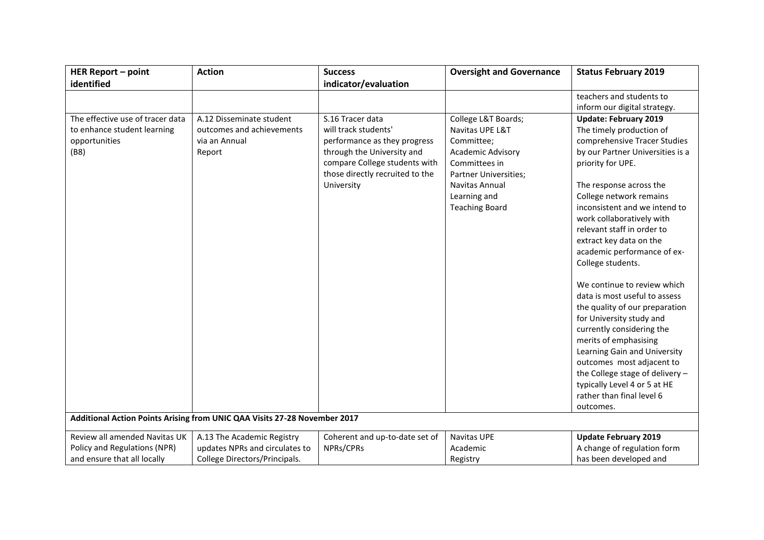| <b>HER Report - point</b>                                                                | <b>Action</b>                                                                    | <b>Success</b>                                                                                                                                                                           | <b>Oversight and Governance</b>                                                                                                                                                              | <b>Status February 2019</b>                                                                                                                                                                                                                                                                                                                                                                                                                                                                                                                                                                                                                                                                                                         |  |
|------------------------------------------------------------------------------------------|----------------------------------------------------------------------------------|------------------------------------------------------------------------------------------------------------------------------------------------------------------------------------------|----------------------------------------------------------------------------------------------------------------------------------------------------------------------------------------------|-------------------------------------------------------------------------------------------------------------------------------------------------------------------------------------------------------------------------------------------------------------------------------------------------------------------------------------------------------------------------------------------------------------------------------------------------------------------------------------------------------------------------------------------------------------------------------------------------------------------------------------------------------------------------------------------------------------------------------------|--|
| identified                                                                               |                                                                                  | indicator/evaluation                                                                                                                                                                     |                                                                                                                                                                                              |                                                                                                                                                                                                                                                                                                                                                                                                                                                                                                                                                                                                                                                                                                                                     |  |
|                                                                                          |                                                                                  |                                                                                                                                                                                          |                                                                                                                                                                                              | teachers and students to                                                                                                                                                                                                                                                                                                                                                                                                                                                                                                                                                                                                                                                                                                            |  |
|                                                                                          |                                                                                  |                                                                                                                                                                                          |                                                                                                                                                                                              | inform our digital strategy.                                                                                                                                                                                                                                                                                                                                                                                                                                                                                                                                                                                                                                                                                                        |  |
| The effective use of tracer data<br>to enhance student learning<br>opportunities<br>(B8) | A.12 Disseminate student<br>outcomes and achievements<br>via an Annual<br>Report | S.16 Tracer data<br>will track students'<br>performance as they progress<br>through the University and<br>compare College students with<br>those directly recruited to the<br>University | College L&T Boards;<br>Navitas UPE L&T<br>Committee;<br><b>Academic Advisory</b><br>Committees in<br><b>Partner Universities;</b><br>Navitas Annual<br>Learning and<br><b>Teaching Board</b> | <b>Update: February 2019</b><br>The timely production of<br>comprehensive Tracer Studies<br>by our Partner Universities is a<br>priority for UPE.<br>The response across the<br>College network remains<br>inconsistent and we intend to<br>work collaboratively with<br>relevant staff in order to<br>extract key data on the<br>academic performance of ex-<br>College students.<br>We continue to review which<br>data is most useful to assess<br>the quality of our preparation<br>for University study and<br>currently considering the<br>merits of emphasising<br>Learning Gain and University<br>outcomes most adjacent to<br>the College stage of delivery -<br>typically Level 4 or 5 at HE<br>rather than final level 6 |  |
|                                                                                          | Additional Action Points Arising from UNIC QAA Visits 27-28 November 2017        |                                                                                                                                                                                          |                                                                                                                                                                                              | outcomes.                                                                                                                                                                                                                                                                                                                                                                                                                                                                                                                                                                                                                                                                                                                           |  |
|                                                                                          |                                                                                  |                                                                                                                                                                                          |                                                                                                                                                                                              |                                                                                                                                                                                                                                                                                                                                                                                                                                                                                                                                                                                                                                                                                                                                     |  |
| Review all amended Navitas UK                                                            | A.13 The Academic Registry                                                       | Coherent and up-to-date set of                                                                                                                                                           | <b>Navitas UPE</b>                                                                                                                                                                           | <b>Update February 2019</b>                                                                                                                                                                                                                                                                                                                                                                                                                                                                                                                                                                                                                                                                                                         |  |
| Policy and Regulations (NPR)                                                             | updates NPRs and circulates to                                                   | NPRs/CPRs                                                                                                                                                                                | Academic                                                                                                                                                                                     | A change of regulation form                                                                                                                                                                                                                                                                                                                                                                                                                                                                                                                                                                                                                                                                                                         |  |
| and ensure that all locally                                                              | College Directors/Principals.                                                    |                                                                                                                                                                                          | Registry                                                                                                                                                                                     | has been developed and                                                                                                                                                                                                                                                                                                                                                                                                                                                                                                                                                                                                                                                                                                              |  |